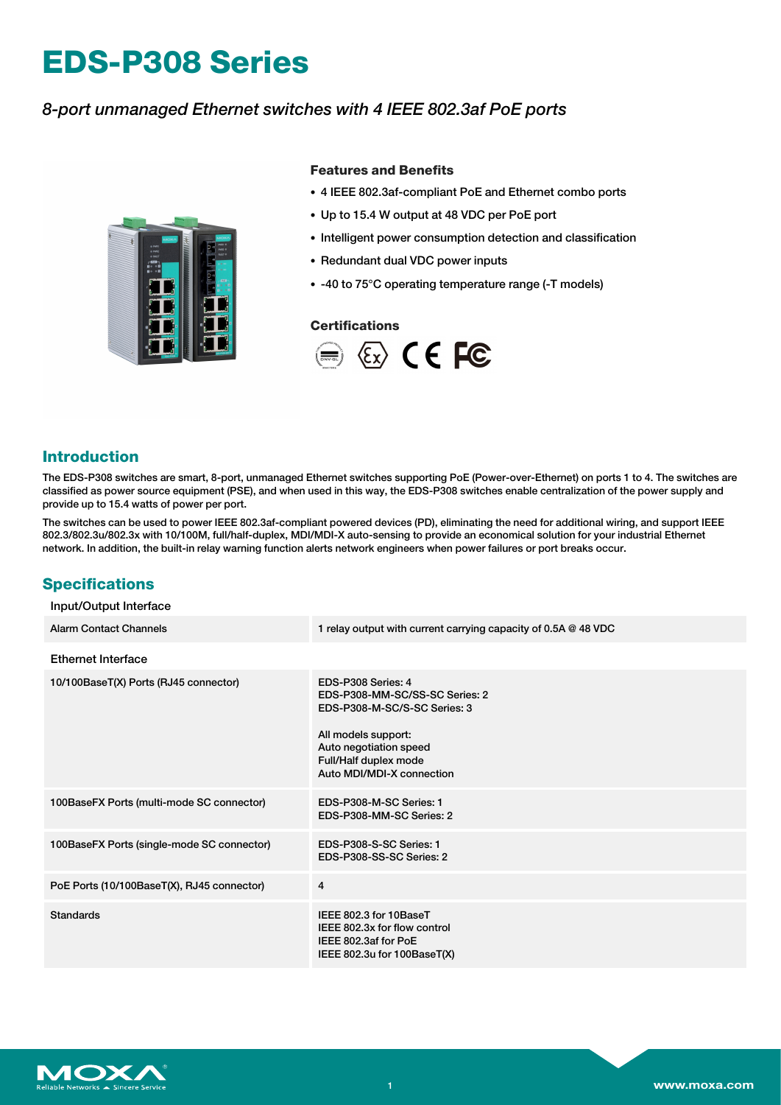# **EDS-P308 Series**

# *8-port unmanaged Ethernet switches with 4 IEEE 802.3af PoE ports*



### **Features and Benefits**

- 4 IEEE 802.3af-compliant PoE and Ethernet combo ports
- Up to 15.4 W output at 48 VDC per PoE port
- Intelligent power consumption detection and classification
- Redundant dual VDC power inputs
- -40 to 75°C operating temperature range (-T models)

### **Certifications**



# **Introduction**

The EDS-P308 switches are smart, 8-port, unmanaged Ethernet switches supporting PoE (Power-over-Ethernet) on ports 1 to 4. The switches are classified as power source equipment (PSE), and when used in this way, the EDS-P308 switches enable centralization of the power supply and provide up to 15.4 watts of power per port.

The switches can be used to power IEEE 802.3af-compliant powered devices (PD), eliminating the need for additional wiring, and support IEEE 802.3/802.3u/802.3x with 10/100M, full/half-duplex, MDI/MDI-X auto-sensing to provide an economical solution for your industrial Ethernet network. In addition, the built-in relay warning function alerts network engineers when power failures or port breaks occur.

# **Specifications**

| Input/Output Interface                     |                                                                                                                                                                                             |
|--------------------------------------------|---------------------------------------------------------------------------------------------------------------------------------------------------------------------------------------------|
| <b>Alarm Contact Channels</b>              | 1 relay output with current carrying capacity of 0.5A @ 48 VDC                                                                                                                              |
| Ethernet Interface                         |                                                                                                                                                                                             |
| 10/100BaseT(X) Ports (RJ45 connector)      | EDS-P308 Series: 4<br>EDS-P308-MM-SC/SS-SC Series: 2<br>EDS-P308-M-SC/S-SC Series: 3<br>All models support:<br>Auto negotiation speed<br>Full/Half duplex mode<br>Auto MDI/MDI-X connection |
| 100BaseFX Ports (multi-mode SC connector)  | EDS-P308-M-SC Series: 1<br>EDS-P308-MM-SC Series: 2                                                                                                                                         |
| 100BaseFX Ports (single-mode SC connector) | EDS-P308-S-SC Series: 1<br>EDS-P308-SS-SC Series: 2                                                                                                                                         |
| PoE Ports (10/100BaseT(X), RJ45 connector) | $\overline{4}$                                                                                                                                                                              |
| <b>Standards</b>                           | IEEE 802.3 for 10BaseT<br>IEEE 802.3x for flow control<br>IEEE 802.3af for PoE<br>IEEE 802.3u for 100BaseT(X)                                                                               |

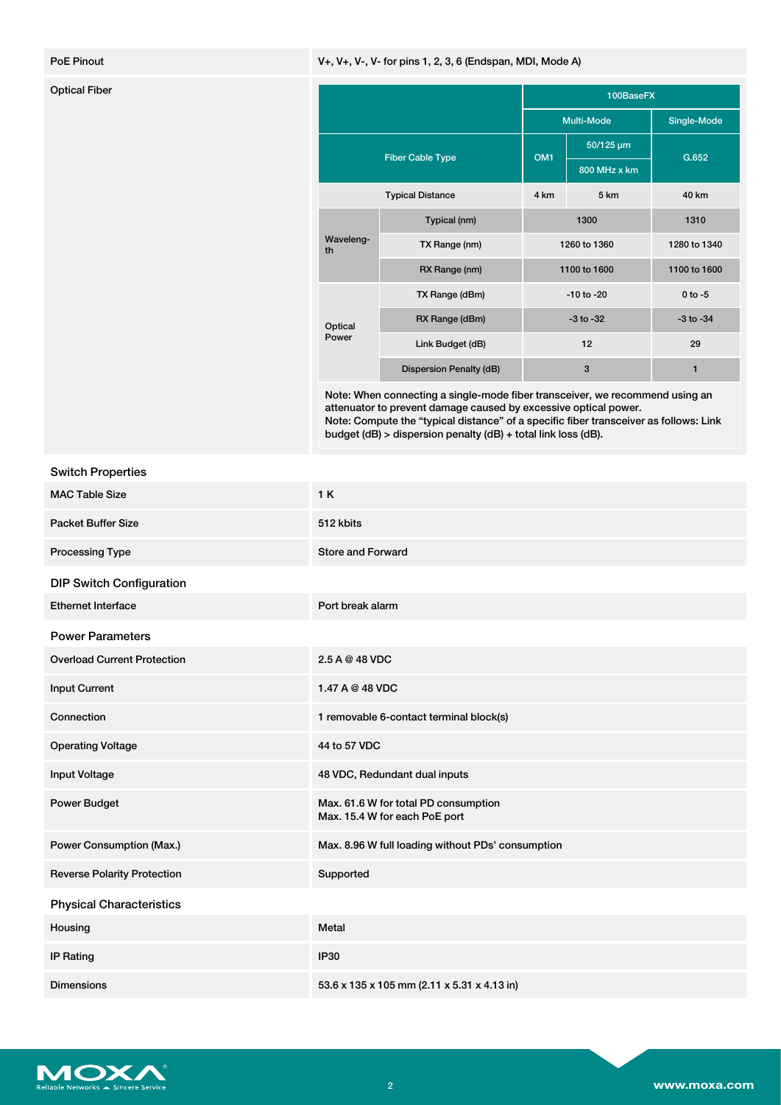### PoE Pinout **Profession Contract Contract Contract Contract Contract Contract Contract Contract Contract Contract Contract Contract Contract Contract Contract Contract Contract Contract Contract Contract Contract Contract C**

| <b>Optical Fiber</b> |                         |                         | 100BaseFX       |                |               |
|----------------------|-------------------------|-------------------------|-----------------|----------------|---------------|
|                      |                         |                         |                 | Multi-Mode     | Single-Mode   |
|                      | <b>Fiber Cable Type</b> |                         | OM <sub>1</sub> | 50/125 um      | G.652         |
|                      |                         |                         |                 | 800 MHz x km   |               |
|                      |                         | <b>Typical Distance</b> | 4 km            | 5 km           | 40 km         |
|                      | Waveleng-<br>th         | Typical (nm)            |                 | 1300           | 1310          |
|                      |                         | TX Range (nm)           | 1260 to 1360    |                | 1280 to 1340  |
|                      |                         | RX Range (nm)           | 1100 to 1600    |                | 1100 to 1600  |
|                      | Optical<br>Power        | TX Range (dBm)          |                 | $-10$ to $-20$ | $0$ to $-5$   |
|                      |                         | RX Range (dBm)          |                 | $-3$ to $-32$  | $-3$ to $-34$ |
|                      |                         | Link Budget (dB)        |                 | 12             | 29            |
|                      |                         | Dispersion Penalty (dB) |                 | 3              | 1             |

Note: When connecting a single-mode fiber transceiver, we recommend using an attenuator to prevent damage caused by excessive optical power. Note: Compute the "typical distance" of a specific fiber transceiver as follows: Link budget (dB) > dispersion penalty (dB) + total link loss (dB).

|  | <b>Switch Properties</b> |
|--|--------------------------|
|--|--------------------------|

| <b>MAC Table Size</b>              | 1 K                                                                   |
|------------------------------------|-----------------------------------------------------------------------|
| <b>Packet Buffer Size</b>          | 512 kbits                                                             |
| <b>Processing Type</b>             | <b>Store and Forward</b>                                              |
| <b>DIP Switch Configuration</b>    |                                                                       |
| <b>Ethernet Interface</b>          | Port break alarm                                                      |
| <b>Power Parameters</b>            |                                                                       |
| <b>Overload Current Protection</b> | 2.5 A @ 48 VDC                                                        |
| <b>Input Current</b>               | 1.47 A @ 48 VDC                                                       |
| Connection                         | 1 removable 6-contact terminal block(s)                               |
| <b>Operating Voltage</b>           | 44 to 57 VDC                                                          |
| <b>Input Voltage</b>               | 48 VDC, Redundant dual inputs                                         |
| Power Budget                       | Max. 61.6 W for total PD consumption<br>Max. 15.4 W for each PoE port |
| Power Consumption (Max.)           | Max. 8.96 W full loading without PDs' consumption                     |
| <b>Reverse Polarity Protection</b> | Supported                                                             |
| <b>Physical Characteristics</b>    |                                                                       |
| Housing                            | Metal                                                                 |
| <b>IP Rating</b>                   | <b>IP30</b>                                                           |
| <b>Dimensions</b>                  | 53.6 x 135 x 105 mm (2.11 x 5.31 x 4.13 in)                           |

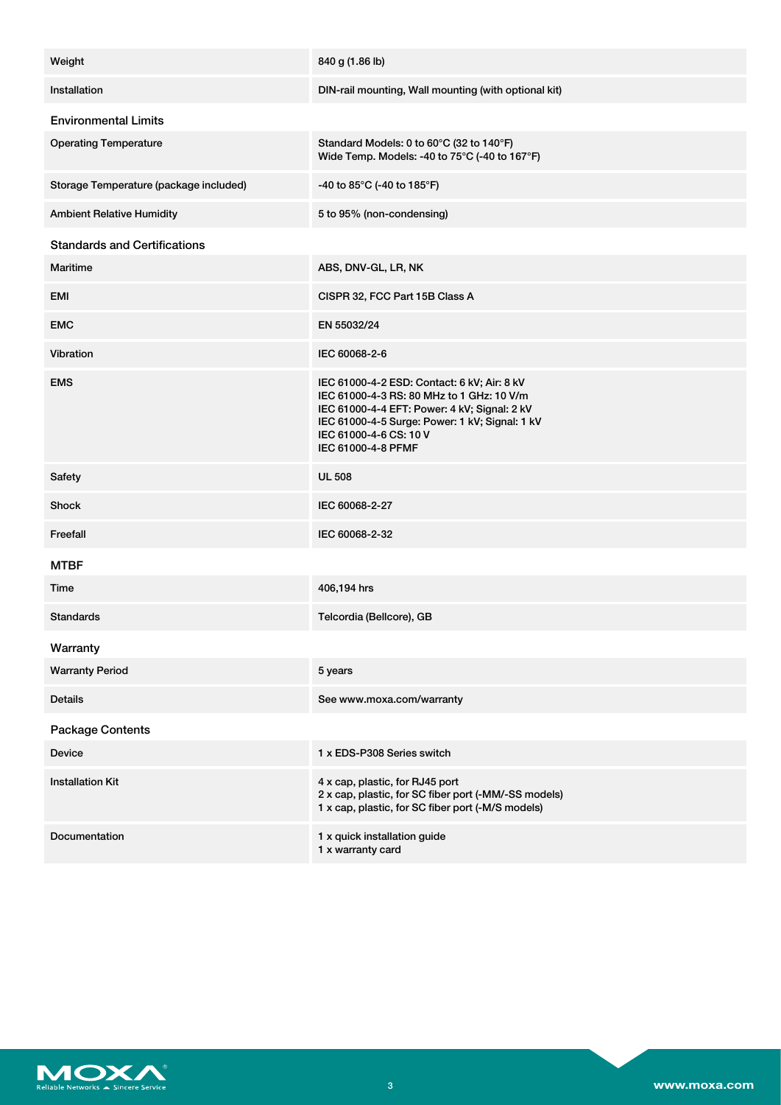| Weight                                 | 840 g (1.86 lb)                                                                                                                                                                                                                            |
|----------------------------------------|--------------------------------------------------------------------------------------------------------------------------------------------------------------------------------------------------------------------------------------------|
| Installation                           | DIN-rail mounting, Wall mounting (with optional kit)                                                                                                                                                                                       |
| <b>Environmental Limits</b>            |                                                                                                                                                                                                                                            |
| <b>Operating Temperature</b>           | Standard Models: 0 to 60°C (32 to 140°F)<br>Wide Temp. Models: -40 to 75°C (-40 to 167°F)                                                                                                                                                  |
| Storage Temperature (package included) | -40 to 85°C (-40 to 185°F)                                                                                                                                                                                                                 |
| <b>Ambient Relative Humidity</b>       | 5 to 95% (non-condensing)                                                                                                                                                                                                                  |
| <b>Standards and Certifications</b>    |                                                                                                                                                                                                                                            |
| Maritime                               | ABS, DNV-GL, LR, NK                                                                                                                                                                                                                        |
| EMI                                    | CISPR 32, FCC Part 15B Class A                                                                                                                                                                                                             |
| <b>EMC</b>                             | EN 55032/24                                                                                                                                                                                                                                |
| Vibration                              | IEC 60068-2-6                                                                                                                                                                                                                              |
| <b>EMS</b>                             | IEC 61000-4-2 ESD: Contact: 6 kV; Air: 8 kV<br>IEC 61000-4-3 RS: 80 MHz to 1 GHz: 10 V/m<br>IEC 61000-4-4 EFT: Power: 4 kV; Signal: 2 kV<br>IEC 61000-4-5 Surge: Power: 1 kV; Signal: 1 kV<br>IEC 61000-4-6 CS: 10 V<br>IEC 61000-4-8 PFMF |
| Safety                                 | <b>UL 508</b>                                                                                                                                                                                                                              |
| <b>Shock</b>                           | IEC 60068-2-27                                                                                                                                                                                                                             |
| Freefall                               | IEC 60068-2-32                                                                                                                                                                                                                             |
| <b>MTBF</b>                            |                                                                                                                                                                                                                                            |
| Time                                   | 406,194 hrs                                                                                                                                                                                                                                |
| <b>Standards</b>                       | Telcordia (Bellcore), GB                                                                                                                                                                                                                   |
| Warranty                               |                                                                                                                                                                                                                                            |
| <b>Warranty Period</b>                 | 5 years                                                                                                                                                                                                                                    |
| <b>Details</b>                         | See www.moxa.com/warranty                                                                                                                                                                                                                  |
| <b>Package Contents</b>                |                                                                                                                                                                                                                                            |
| Device                                 | 1 x EDS-P308 Series switch                                                                                                                                                                                                                 |
| <b>Installation Kit</b>                | 4 x cap, plastic, for RJ45 port<br>2 x cap, plastic, for SC fiber port (-MM/-SS models)<br>1 x cap, plastic, for SC fiber port (-M/S models)                                                                                               |
| Documentation                          | 1 x quick installation guide<br>1 x warranty card                                                                                                                                                                                          |

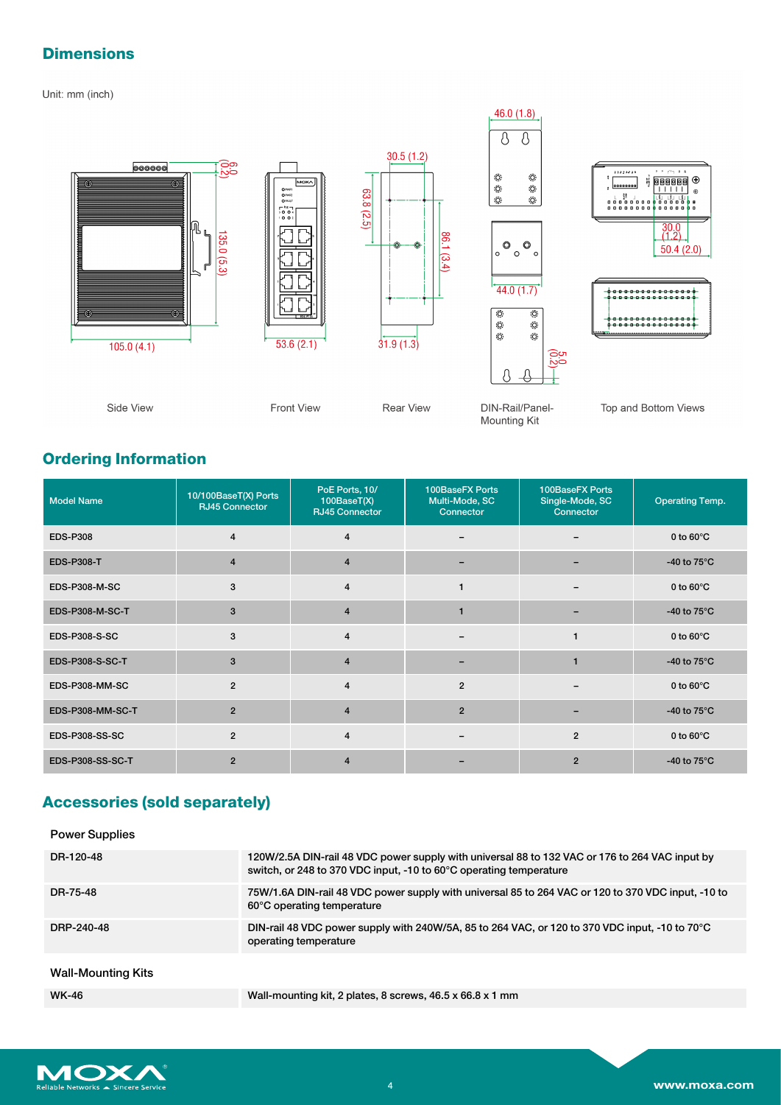# **Dimensions**

Unit: mm (inch)



# **Ordering Information**

| <b>Model Name</b>     | 10/100BaseT(X) Ports<br><b>RJ45 Connector</b> | PoE Ports, 10/<br>100BaseT(X)<br><b>RJ45 Connector</b> | 100BaseFX Ports<br>Multi-Mode, SC<br>Connector | 100BaseFX Ports<br>Single-Mode, SC<br>Connector | <b>Operating Temp.</b> |
|-----------------------|-----------------------------------------------|--------------------------------------------------------|------------------------------------------------|-------------------------------------------------|------------------------|
| <b>EDS-P308</b>       | $\overline{4}$                                | 4                                                      |                                                |                                                 | 0 to $60^{\circ}$ C    |
| <b>EDS-P308-T</b>     | $\overline{4}$                                | $\overline{4}$                                         |                                                |                                                 | -40 to $75^{\circ}$ C  |
| <b>EDS-P308-M-SC</b>  | 3                                             | $\overline{4}$                                         |                                                | $\overline{\phantom{m}}$                        | 0 to $60^{\circ}$ C    |
| EDS-P308-M-SC-T       | 3                                             | $\overline{4}$                                         |                                                | -                                               | -40 to $75^{\circ}$ C  |
| <b>EDS-P308-S-SC</b>  | 3                                             | $\overline{\mathbf{4}}$                                |                                                |                                                 | 0 to $60^{\circ}$ C    |
| EDS-P308-S-SC-T       | 3                                             | $\overline{4}$                                         |                                                |                                                 | -40 to $75^{\circ}$ C  |
| EDS-P308-MM-SC        | $\overline{2}$                                | 4                                                      | $\overline{2}$                                 |                                                 | 0 to $60^{\circ}$ C    |
| EDS-P308-MM-SC-T      | $\overline{2}$                                | $\overline{4}$                                         | $\overline{2}$                                 |                                                 | -40 to $75^{\circ}$ C  |
| <b>EDS-P308-SS-SC</b> | $\overline{2}$                                | $\overline{\mathbf{4}}$                                |                                                | $\overline{2}$                                  | 0 to $60^{\circ}$ C    |
| EDS-P308-SS-SC-T      | $\overline{2}$                                | $\overline{4}$                                         |                                                | $\overline{2}$                                  | -40 to $75^{\circ}$ C  |

# **Accessories (sold separately)**

| <b>Power Supplies</b> |                                                                                                                                                                      |
|-----------------------|----------------------------------------------------------------------------------------------------------------------------------------------------------------------|
| DR-120-48             | 120W/2.5A DIN-rail 48 VDC power supply with universal 88 to 132 VAC or 176 to 264 VAC input by<br>switch, or 248 to 370 VDC input, -10 to 60°C operating temperature |
| DR-75-48              | 75W/1.6A DIN-rail 48 VDC power supply with universal 85 to 264 VAC or 120 to 370 VDC input, -10 to<br>60°C operating temperature                                     |
| DRP-240-48            | DIN-rail 48 VDC power supply with 240W/5A, 85 to 264 VAC, or 120 to 370 VDC input, -10 to 70°C<br>operating temperature                                              |
| Wall-Mounting Kits    |                                                                                                                                                                      |
| <b>WK-46</b>          | Wall-mounting kit, 2 plates, 8 screws, 46.5 x 66.8 x 1 mm                                                                                                            |